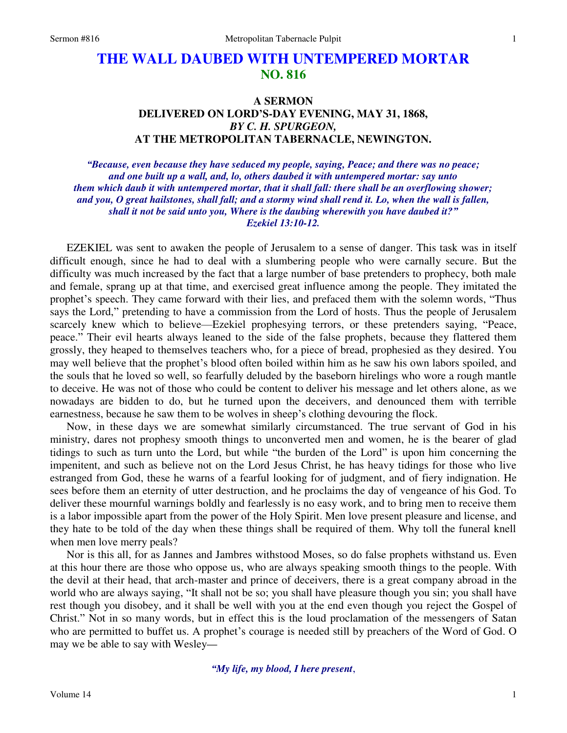# **THE WALL DAUBED WITH UNTEMPERED MORTAR NO. 816**

## **A SERMON DELIVERED ON LORD'S-DAY EVENING, MAY 31, 1868,**  *BY C. H. SPURGEON,*  **AT THE METROPOLITAN TABERNACLE, NEWINGTON.**

*"Because, even because they have seduced my people, saying, Peace; and there was no peace; and one built up a wall, and, lo, others daubed it with untempered mortar: say unto them which daub it with untempered mortar, that it shall fall: there shall be an overflowing shower; and you, O great hailstones, shall fall; and a stormy wind shall rend it. Lo, when the wall is fallen, shall it not be said unto you, Where is the daubing wherewith you have daubed it?" Ezekiel 13:10-12.* 

 EZEKIEL was sent to awaken the people of Jerusalem to a sense of danger. This task was in itself difficult enough, since he had to deal with a slumbering people who were carnally secure. But the difficulty was much increased by the fact that a large number of base pretenders to prophecy, both male and female, sprang up at that time, and exercised great influence among the people. They imitated the prophet's speech. They came forward with their lies, and prefaced them with the solemn words, "Thus says the Lord," pretending to have a commission from the Lord of hosts. Thus the people of Jerusalem scarcely knew which to believe—Ezekiel prophesying terrors, or these pretenders saying, "Peace, peace." Their evil hearts always leaned to the side of the false prophets, because they flattered them grossly, they heaped to themselves teachers who, for a piece of bread, prophesied as they desired. You may well believe that the prophet's blood often boiled within him as he saw his own labors spoiled, and the souls that he loved so well, so fearfully deluded by the baseborn hirelings who wore a rough mantle to deceive. He was not of those who could be content to deliver his message and let others alone, as we nowadays are bidden to do, but he turned upon the deceivers, and denounced them with terrible earnestness, because he saw them to be wolves in sheep's clothing devouring the flock.

 Now, in these days we are somewhat similarly circumstanced. The true servant of God in his ministry, dares not prophesy smooth things to unconverted men and women, he is the bearer of glad tidings to such as turn unto the Lord, but while "the burden of the Lord" is upon him concerning the impenitent, and such as believe not on the Lord Jesus Christ, he has heavy tidings for those who live estranged from God, these he warns of a fearful looking for of judgment, and of fiery indignation. He sees before them an eternity of utter destruction, and he proclaims the day of vengeance of his God. To deliver these mournful warnings boldly and fearlessly is no easy work, and to bring men to receive them is a labor impossible apart from the power of the Holy Spirit. Men love present pleasure and license, and they hate to be told of the day when these things shall be required of them. Why toll the funeral knell when men love merry peals?

 Nor is this all, for as Jannes and Jambres withstood Moses, so do false prophets withstand us. Even at this hour there are those who oppose us, who are always speaking smooth things to the people. With the devil at their head, that arch-master and prince of deceivers, there is a great company abroad in the world who are always saying, "It shall not be so; you shall have pleasure though you sin; you shall have rest though you disobey, and it shall be well with you at the end even though you reject the Gospel of Christ." Not in so many words, but in effect this is the loud proclamation of the messengers of Satan who are permitted to buffet us. A prophet's courage is needed still by preachers of the Word of God. O may we be able to say with Wesley*—*

*"My life, my blood, I here present*,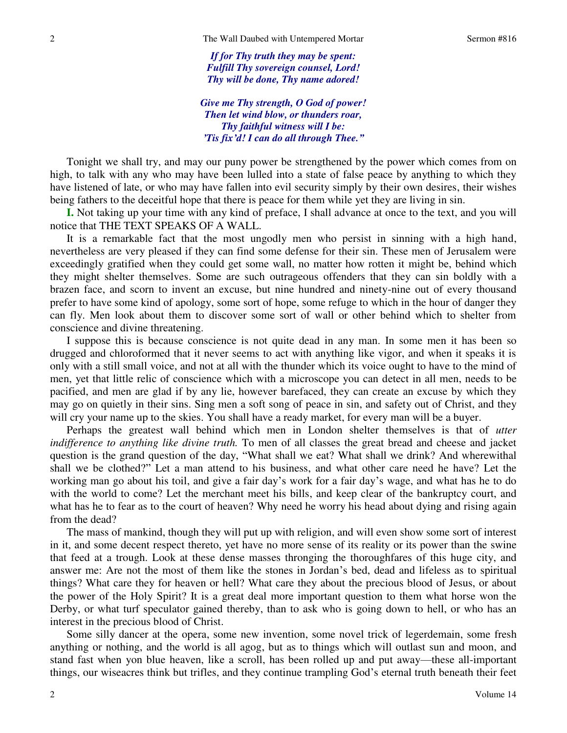*If for Thy truth they may be spent: Fulfill Thy sovereign counsel, Lord! Thy will be done, Thy name adored!* 

*Give me Thy strength, O God of power! Then let wind blow, or thunders roar, Thy faithful witness will I be: 'Tis fix'd! I can do all through Thee."*

 Tonight we shall try, and may our puny power be strengthened by the power which comes from on high, to talk with any who may have been lulled into a state of false peace by anything to which they have listened of late, or who may have fallen into evil security simply by their own desires, their wishes being fathers to the deceitful hope that there is peace for them while yet they are living in sin.

**I.** Not taking up your time with any kind of preface, I shall advance at once to the text, and you will notice that THE TEXT SPEAKS OF A WALL.

 It is a remarkable fact that the most ungodly men who persist in sinning with a high hand, nevertheless are very pleased if they can find some defense for their sin. These men of Jerusalem were exceedingly gratified when they could get some wall, no matter how rotten it might be, behind which they might shelter themselves. Some are such outrageous offenders that they can sin boldly with a brazen face, and scorn to invent an excuse, but nine hundred and ninety-nine out of every thousand prefer to have some kind of apology, some sort of hope, some refuge to which in the hour of danger they can fly. Men look about them to discover some sort of wall or other behind which to shelter from conscience and divine threatening.

 I suppose this is because conscience is not quite dead in any man. In some men it has been so drugged and chloroformed that it never seems to act with anything like vigor, and when it speaks it is only with a still small voice, and not at all with the thunder which its voice ought to have to the mind of men, yet that little relic of conscience which with a microscope you can detect in all men, needs to be pacified, and men are glad if by any lie, however barefaced, they can create an excuse by which they may go on quietly in their sins. Sing men a soft song of peace in sin, and safety out of Christ, and they will cry your name up to the skies. You shall have a ready market, for every man will be a buyer.

 Perhaps the greatest wall behind which men in London shelter themselves is that of *utter indifference to anything like divine truth.* To men of all classes the great bread and cheese and jacket question is the grand question of the day, "What shall we eat? What shall we drink? And wherewithal shall we be clothed?" Let a man attend to his business, and what other care need he have? Let the working man go about his toil, and give a fair day's work for a fair day's wage, and what has he to do with the world to come? Let the merchant meet his bills, and keep clear of the bankruptcy court, and what has he to fear as to the court of heaven? Why need he worry his head about dying and rising again from the dead?

 The mass of mankind, though they will put up with religion, and will even show some sort of interest in it, and some decent respect thereto, yet have no more sense of its reality or its power than the swine that feed at a trough. Look at these dense masses thronging the thoroughfares of this huge city, and answer me: Are not the most of them like the stones in Jordan's bed, dead and lifeless as to spiritual things? What care they for heaven or hell? What care they about the precious blood of Jesus, or about the power of the Holy Spirit? It is a great deal more important question to them what horse won the Derby, or what turf speculator gained thereby, than to ask who is going down to hell, or who has an interest in the precious blood of Christ.

 Some silly dancer at the opera, some new invention, some novel trick of legerdemain, some fresh anything or nothing, and the world is all agog, but as to things which will outlast sun and moon, and stand fast when yon blue heaven, like a scroll, has been rolled up and put away—these all-important things, our wiseacres think but trifles, and they continue trampling God's eternal truth beneath their feet

2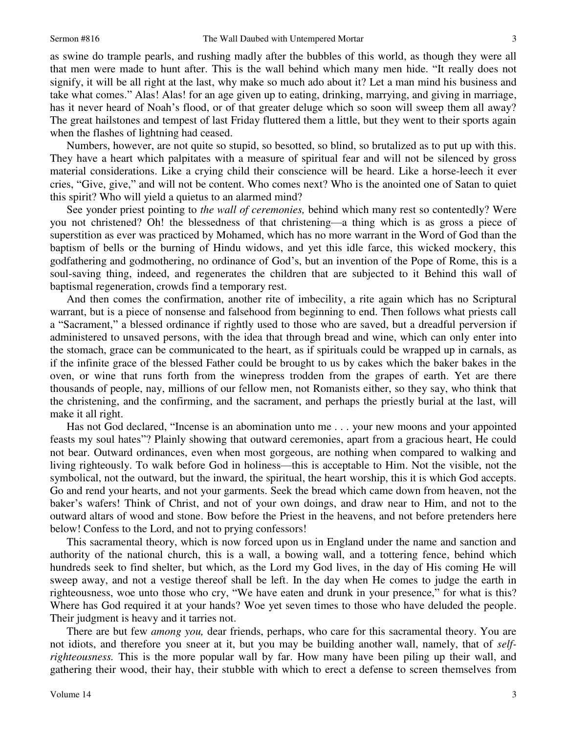3

as swine do trample pearls, and rushing madly after the bubbles of this world, as though they were all that men were made to hunt after. This is the wall behind which many men hide. "It really does not signify, it will be all right at the last, why make so much ado about it? Let a man mind his business and take what comes." Alas! Alas! for an age given up to eating, drinking, marrying, and giving in marriage, has it never heard of Noah's flood, or of that greater deluge which so soon will sweep them all away? The great hailstones and tempest of last Friday fluttered them a little, but they went to their sports again when the flashes of lightning had ceased.

 Numbers, however, are not quite so stupid, so besotted, so blind, so brutalized as to put up with this. They have a heart which palpitates with a measure of spiritual fear and will not be silenced by gross material considerations. Like a crying child their conscience will be heard. Like a horse-leech it ever cries, "Give, give," and will not be content. Who comes next? Who is the anointed one of Satan to quiet this spirit? Who will yield a quietus to an alarmed mind?

 See yonder priest pointing to *the wall of ceremonies,* behind which many rest so contentedly? Were you not christened? Oh! the blessedness of that christening—a thing which is as gross a piece of superstition as ever was practiced by Mohamed, which has no more warrant in the Word of God than the baptism of bells or the burning of Hindu widows, and yet this idle farce, this wicked mockery, this godfathering and godmothering, no ordinance of God's, but an invention of the Pope of Rome, this is a soul-saving thing, indeed, and regenerates the children that are subjected to it Behind this wall of baptismal regeneration, crowds find a temporary rest.

 And then comes the confirmation, another rite of imbecility, a rite again which has no Scriptural warrant, but is a piece of nonsense and falsehood from beginning to end. Then follows what priests call a "Sacrament," a blessed ordinance if rightly used to those who are saved, but a dreadful perversion if administered to unsaved persons, with the idea that through bread and wine, which can only enter into the stomach, grace can be communicated to the heart, as if spirituals could be wrapped up in carnals, as if the infinite grace of the blessed Father could be brought to us by cakes which the baker bakes in the oven, or wine that runs forth from the winepress trodden from the grapes of earth. Yet are there thousands of people, nay, millions of our fellow men, not Romanists either, so they say, who think that the christening, and the confirming, and the sacrament, and perhaps the priestly burial at the last, will make it all right.

 Has not God declared, "Incense is an abomination unto me . . . your new moons and your appointed feasts my soul hates"? Plainly showing that outward ceremonies, apart from a gracious heart, He could not bear. Outward ordinances, even when most gorgeous, are nothing when compared to walking and living righteously. To walk before God in holiness—this is acceptable to Him. Not the visible, not the symbolical, not the outward, but the inward, the spiritual, the heart worship, this it is which God accepts. Go and rend your hearts, and not your garments. Seek the bread which came down from heaven, not the baker's wafers! Think of Christ, and not of your own doings, and draw near to Him, and not to the outward altars of wood and stone. Bow before the Priest in the heavens, and not before pretenders here below! Confess to the Lord, and not to prying confessors!

 This sacramental theory, which is now forced upon us in England under the name and sanction and authority of the national church, this is a wall, a bowing wall, and a tottering fence, behind which hundreds seek to find shelter, but which, as the Lord my God lives, in the day of His coming He will sweep away, and not a vestige thereof shall be left. In the day when He comes to judge the earth in righteousness, woe unto those who cry, "We have eaten and drunk in your presence," for what is this? Where has God required it at your hands? Woe yet seven times to those who have deluded the people. Their judgment is heavy and it tarries not.

 There are but few *among you,* dear friends, perhaps, who care for this sacramental theory. You are not idiots, and therefore you sneer at it, but you may be building another wall, namely, that of *selfrighteousness.* This is the more popular wall by far. How many have been piling up their wall, and gathering their wood, their hay, their stubble with which to erect a defense to screen themselves from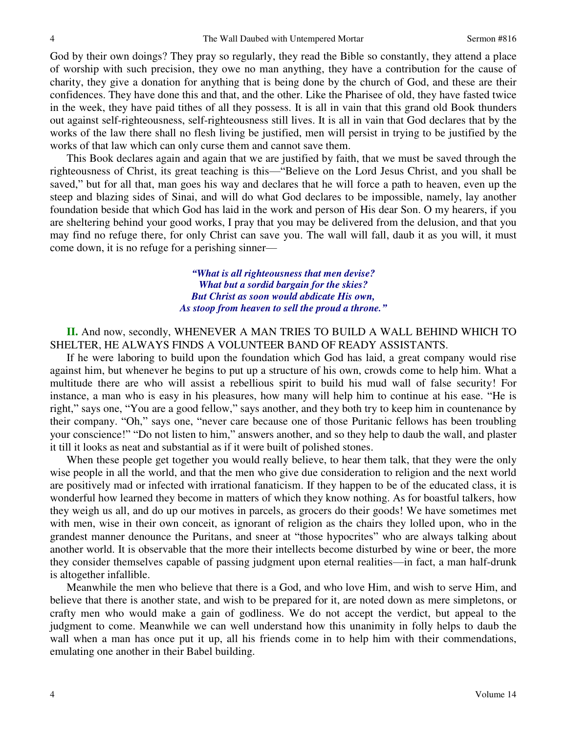God by their own doings? They pray so regularly, they read the Bible so constantly, they attend a place of worship with such precision, they owe no man anything, they have a contribution for the cause of charity, they give a donation for anything that is being done by the church of God, and these are their confidences. They have done this and that, and the other. Like the Pharisee of old, they have fasted twice in the week, they have paid tithes of all they possess. It is all in vain that this grand old Book thunders out against self-righteousness, self-righteousness still lives. It is all in vain that God declares that by the works of the law there shall no flesh living be justified, men will persist in trying to be justified by the works of that law which can only curse them and cannot save them.

 This Book declares again and again that we are justified by faith, that we must be saved through the righteousness of Christ, its great teaching is this—"Believe on the Lord Jesus Christ, and you shall be saved," but for all that, man goes his way and declares that he will force a path to heaven, even up the steep and blazing sides of Sinai, and will do what God declares to be impossible, namely, lay another foundation beside that which God has laid in the work and person of His dear Son. O my hearers, if you are sheltering behind your good works, I pray that you may be delivered from the delusion, and that you may find no refuge there, for only Christ can save you. The wall will fall, daub it as you will, it must come down, it is no refuge for a perishing sinner—

> *"What is all righteousness that men devise? What but a sordid bargain for the skies? But Christ as soon would abdicate His own, As stoop from heaven to sell the proud a throne."*

## **II.** And now, secondly, WHENEVER A MAN TRIES TO BUILD A WALL BEHIND WHICH TO SHELTER, HE ALWAYS FINDS A VOLUNTEER BAND OF READY ASSISTANTS.

 If he were laboring to build upon the foundation which God has laid, a great company would rise against him, but whenever he begins to put up a structure of his own, crowds come to help him. What a multitude there are who will assist a rebellious spirit to build his mud wall of false security! For instance, a man who is easy in his pleasures, how many will help him to continue at his ease. "He is right," says one, "You are a good fellow," says another, and they both try to keep him in countenance by their company. "Oh," says one, "never care because one of those Puritanic fellows has been troubling your conscience!" "Do not listen to him," answers another, and so they help to daub the wall, and plaster it till it looks as neat and substantial as if it were built of polished stones.

 When these people get together you would really believe, to hear them talk, that they were the only wise people in all the world, and that the men who give due consideration to religion and the next world are positively mad or infected with irrational fanaticism. If they happen to be of the educated class, it is wonderful how learned they become in matters of which they know nothing. As for boastful talkers, how they weigh us all, and do up our motives in parcels, as grocers do their goods! We have sometimes met with men, wise in their own conceit, as ignorant of religion as the chairs they lolled upon, who in the grandest manner denounce the Puritans, and sneer at "those hypocrites" who are always talking about another world. It is observable that the more their intellects become disturbed by wine or beer, the more they consider themselves capable of passing judgment upon eternal realities—in fact, a man half-drunk is altogether infallible.

 Meanwhile the men who believe that there is a God, and who love Him, and wish to serve Him, and believe that there is another state, and wish to be prepared for it, are noted down as mere simpletons, or crafty men who would make a gain of godliness. We do not accept the verdict, but appeal to the judgment to come. Meanwhile we can well understand how this unanimity in folly helps to daub the wall when a man has once put it up, all his friends come in to help him with their commendations, emulating one another in their Babel building.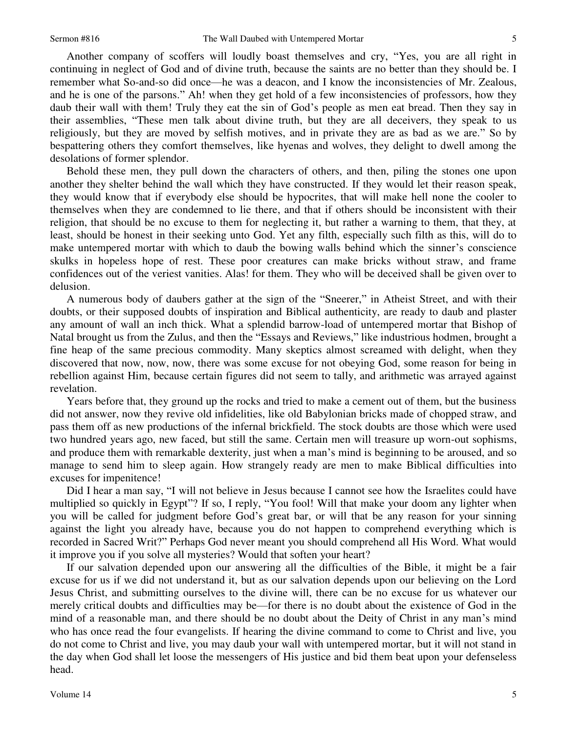Another company of scoffers will loudly boast themselves and cry, "Yes, you are all right in continuing in neglect of God and of divine truth, because the saints are no better than they should be. I remember what So-and-so did once—he was a deacon, and I know the inconsistencies of Mr. Zealous, and he is one of the parsons." Ah! when they get hold of a few inconsistencies of professors, how they daub their wall with them! Truly they eat the sin of God's people as men eat bread. Then they say in their assemblies, "These men talk about divine truth, but they are all deceivers, they speak to us religiously, but they are moved by selfish motives, and in private they are as bad as we are." So by bespattering others they comfort themselves, like hyenas and wolves, they delight to dwell among the desolations of former splendor.

 Behold these men, they pull down the characters of others, and then, piling the stones one upon another they shelter behind the wall which they have constructed. If they would let their reason speak, they would know that if everybody else should be hypocrites, that will make hell none the cooler to themselves when they are condemned to lie there, and that if others should be inconsistent with their religion, that should be no excuse to them for neglecting it, but rather a warning to them, that they, at least, should be honest in their seeking unto God. Yet any filth, especially such filth as this, will do to make untempered mortar with which to daub the bowing walls behind which the sinner's conscience skulks in hopeless hope of rest. These poor creatures can make bricks without straw, and frame confidences out of the veriest vanities. Alas! for them. They who will be deceived shall be given over to delusion.

 A numerous body of daubers gather at the sign of the "Sneerer," in Atheist Street, and with their doubts, or their supposed doubts of inspiration and Biblical authenticity, are ready to daub and plaster any amount of wall an inch thick. What a splendid barrow-load of untempered mortar that Bishop of Natal brought us from the Zulus, and then the "Essays and Reviews," like industrious hodmen, brought a fine heap of the same precious commodity. Many skeptics almost screamed with delight, when they discovered that now, now, now, there was some excuse for not obeying God, some reason for being in rebellion against Him, because certain figures did not seem to tally, and arithmetic was arrayed against revelation.

 Years before that, they ground up the rocks and tried to make a cement out of them, but the business did not answer, now they revive old infidelities, like old Babylonian bricks made of chopped straw, and pass them off as new productions of the infernal brickfield. The stock doubts are those which were used two hundred years ago, new faced, but still the same. Certain men will treasure up worn-out sophisms, and produce them with remarkable dexterity, just when a man's mind is beginning to be aroused, and so manage to send him to sleep again. How strangely ready are men to make Biblical difficulties into excuses for impenitence!

 Did I hear a man say, "I will not believe in Jesus because I cannot see how the Israelites could have multiplied so quickly in Egypt"? If so, I reply, "You fool! Will that make your doom any lighter when you will be called for judgment before God's great bar, or will that be any reason for your sinning against the light you already have, because you do not happen to comprehend everything which is recorded in Sacred Writ?" Perhaps God never meant you should comprehend all His Word. What would it improve you if you solve all mysteries? Would that soften your heart?

 If our salvation depended upon our answering all the difficulties of the Bible, it might be a fair excuse for us if we did not understand it, but as our salvation depends upon our believing on the Lord Jesus Christ, and submitting ourselves to the divine will, there can be no excuse for us whatever our merely critical doubts and difficulties may be—for there is no doubt about the existence of God in the mind of a reasonable man, and there should be no doubt about the Deity of Christ in any man's mind who has once read the four evangelists. If hearing the divine command to come to Christ and live, you do not come to Christ and live, you may daub your wall with untempered mortar, but it will not stand in the day when God shall let loose the messengers of His justice and bid them beat upon your defenseless head.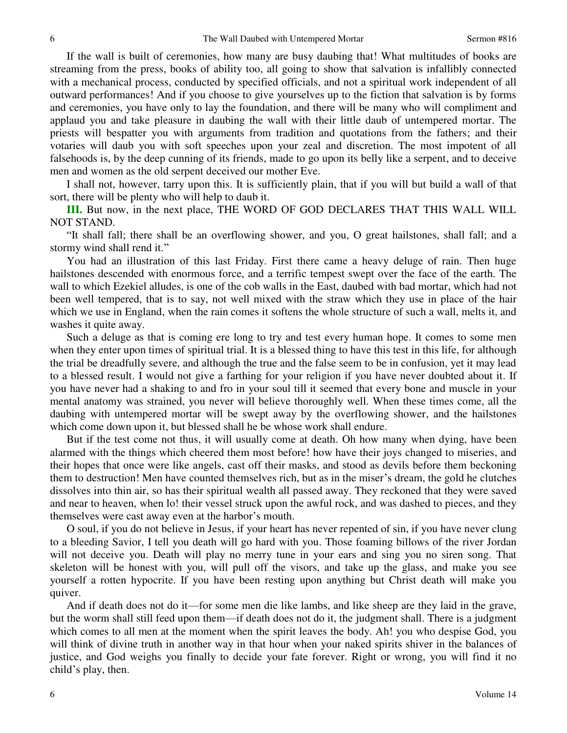If the wall is built of ceremonies, how many are busy daubing that! What multitudes of books are streaming from the press, books of ability too, all going to show that salvation is infallibly connected with a mechanical process, conducted by specified officials, and not a spiritual work independent of all outward performances! And if you choose to give yourselves up to the fiction that salvation is by forms and ceremonies, you have only to lay the foundation, and there will be many who will compliment and applaud you and take pleasure in daubing the wall with their little daub of untempered mortar. The priests will bespatter you with arguments from tradition and quotations from the fathers; and their votaries will daub you with soft speeches upon your zeal and discretion. The most impotent of all falsehoods is, by the deep cunning of its friends, made to go upon its belly like a serpent, and to deceive men and women as the old serpent deceived our mother Eve.

 I shall not, however, tarry upon this. It is sufficiently plain, that if you will but build a wall of that sort, there will be plenty who will help to daub it.

**III.** But now, in the next place, THE WORD OF GOD DECLARES THAT THIS WALL WILL NOT STAND.

"It shall fall; there shall be an overflowing shower, and you, O great hailstones, shall fall; and a stormy wind shall rend it."

 You had an illustration of this last Friday. First there came a heavy deluge of rain. Then huge hailstones descended with enormous force, and a terrific tempest swept over the face of the earth. The wall to which Ezekiel alludes, is one of the cob walls in the East, daubed with bad mortar, which had not been well tempered, that is to say, not well mixed with the straw which they use in place of the hair which we use in England, when the rain comes it softens the whole structure of such a wall, melts it, and washes it quite away.

 Such a deluge as that is coming ere long to try and test every human hope. It comes to some men when they enter upon times of spiritual trial. It is a blessed thing to have this test in this life, for although the trial be dreadfully severe, and although the true and the false seem to be in confusion, yet it may lead to a blessed result. I would not give a farthing for your religion if you have never doubted about it. If you have never had a shaking to and fro in your soul till it seemed that every bone and muscle in your mental anatomy was strained, you never will believe thoroughly well. When these times come, all the daubing with untempered mortar will be swept away by the overflowing shower, and the hailstones which come down upon it, but blessed shall he be whose work shall endure.

 But if the test come not thus, it will usually come at death. Oh how many when dying, have been alarmed with the things which cheered them most before! how have their joys changed to miseries, and their hopes that once were like angels, cast off their masks, and stood as devils before them beckoning them to destruction! Men have counted themselves rich, but as in the miser's dream, the gold he clutches dissolves into thin air, so has their spiritual wealth all passed away. They reckoned that they were saved and near to heaven, when lo! their vessel struck upon the awful rock, and was dashed to pieces, and they themselves were cast away even at the harbor's mouth.

O soul, if you do not believe in Jesus, if your heart has never repented of sin, if you have never clung to a bleeding Savior, I tell you death will go hard with you. Those foaming billows of the river Jordan will not deceive you. Death will play no merry tune in your ears and sing you no siren song. That skeleton will be honest with you, will pull off the visors, and take up the glass, and make you see yourself a rotten hypocrite. If you have been resting upon anything but Christ death will make you quiver.

 And if death does not do it—for some men die like lambs, and like sheep are they laid in the grave, but the worm shall still feed upon them—if death does not do it, the judgment shall. There is a judgment which comes to all men at the moment when the spirit leaves the body. Ah! you who despise God, you will think of divine truth in another way in that hour when your naked spirits shiver in the balances of justice, and God weighs you finally to decide your fate forever. Right or wrong, you will find it no child's play, then.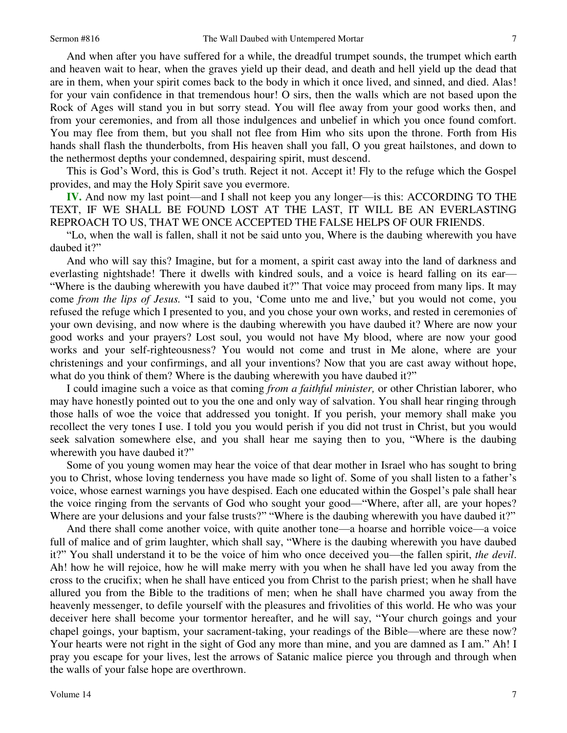And when after you have suffered for a while, the dreadful trumpet sounds, the trumpet which earth and heaven wait to hear, when the graves yield up their dead, and death and hell yield up the dead that are in them, when your spirit comes back to the body in which it once lived, and sinned, and died. Alas! for your vain confidence in that tremendous hour! O sirs, then the walls which are not based upon the Rock of Ages will stand you in but sorry stead. You will flee away from your good works then, and from your ceremonies, and from all those indulgences and unbelief in which you once found comfort. You may flee from them, but you shall not flee from Him who sits upon the throne. Forth from His hands shall flash the thunderbolts, from His heaven shall you fall, O you great hailstones, and down to the nethermost depths your condemned, despairing spirit, must descend.

 This is God's Word, this is God's truth. Reject it not. Accept it! Fly to the refuge which the Gospel provides, and may the Holy Spirit save you evermore.

**IV.** And now my last point—and I shall not keep you any longer—is this: ACCORDING TO THE TEXT, IF WE SHALL BE FOUND LOST AT THE LAST, IT WILL BE AN EVERLASTING REPROACH TO US, THAT WE ONCE ACCEPTED THE FALSE HELPS OF OUR FRIENDS.

"Lo, when the wall is fallen, shall it not be said unto you, Where is the daubing wherewith you have daubed it?"

 And who will say this? Imagine, but for a moment, a spirit cast away into the land of darkness and everlasting nightshade! There it dwells with kindred souls, and a voice is heard falling on its ear— "Where is the daubing wherewith you have daubed it?" That voice may proceed from many lips. It may come *from the lips of Jesus.* "I said to you, 'Come unto me and live,' but you would not come, you refused the refuge which I presented to you, and you chose your own works, and rested in ceremonies of your own devising, and now where is the daubing wherewith you have daubed it? Where are now your good works and your prayers? Lost soul, you would not have My blood, where are now your good works and your self-righteousness? You would not come and trust in Me alone, where are your christenings and your confirmings, and all your inventions? Now that you are cast away without hope, what do you think of them? Where is the daubing wherewith you have daubed it?"

 I could imagine such a voice as that coming *from a faithful minister,* or other Christian laborer, who may have honestly pointed out to you the one and only way of salvation. You shall hear ringing through those halls of woe the voice that addressed you tonight. If you perish, your memory shall make you recollect the very tones I use. I told you you would perish if you did not trust in Christ, but you would seek salvation somewhere else, and you shall hear me saying then to you, "Where is the daubing wherewith you have daubed it?"

 Some of you young women may hear the voice of that dear mother in Israel who has sought to bring you to Christ, whose loving tenderness you have made so light of. Some of you shall listen to a father's voice, whose earnest warnings you have despised. Each one educated within the Gospel's pale shall hear the voice ringing from the servants of God who sought your good—"Where, after all, are your hopes? Where are your delusions and your false trusts?" "Where is the daubing wherewith you have daubed it?"

 And there shall come another voice, with quite another tone—a hoarse and horrible voice—a voice full of malice and of grim laughter, which shall say, "Where is the daubing wherewith you have daubed it?" You shall understand it to be the voice of him who once deceived you—the fallen spirit, *the devil*. Ah! how he will rejoice, how he will make merry with you when he shall have led you away from the cross to the crucifix; when he shall have enticed you from Christ to the parish priest; when he shall have allured you from the Bible to the traditions of men; when he shall have charmed you away from the heavenly messenger, to defile yourself with the pleasures and frivolities of this world. He who was your deceiver here shall become your tormentor hereafter, and he will say, "Your church goings and your chapel goings, your baptism, your sacrament-taking, your readings of the Bible—where are these now? Your hearts were not right in the sight of God any more than mine, and you are damned as I am." Ah! I pray you escape for your lives, lest the arrows of Satanic malice pierce you through and through when the walls of your false hope are overthrown.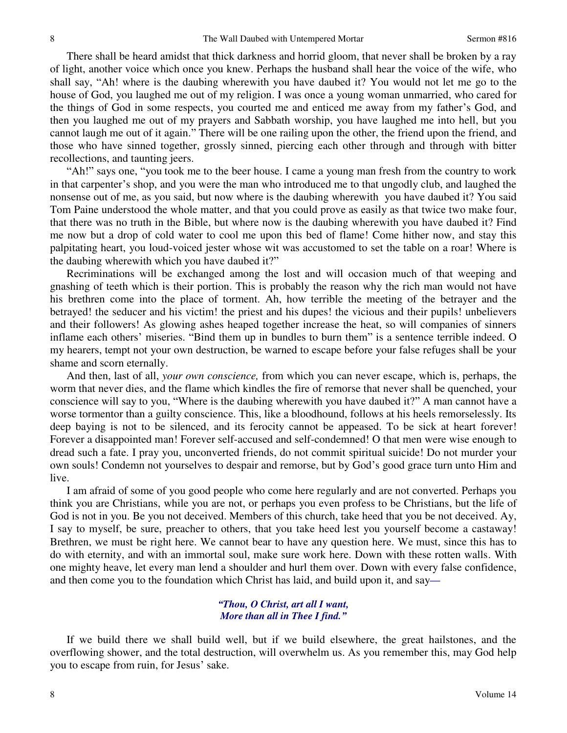There shall be heard amidst that thick darkness and horrid gloom, that never shall be broken by a ray of light, another voice which once you knew. Perhaps the husband shall hear the voice of the wife, who shall say, "Ah! where is the daubing wherewith you have daubed it? You would not let me go to the house of God, you laughed me out of my religion. I was once a young woman unmarried, who cared for the things of God in some respects, you courted me and enticed me away from my father's God, and then you laughed me out of my prayers and Sabbath worship, you have laughed me into hell, but you cannot laugh me out of it again." There will be one railing upon the other, the friend upon the friend, and those who have sinned together, grossly sinned, piercing each other through and through with bitter recollections, and taunting jeers.

"Ah!" says one, "you took me to the beer house. I came a young man fresh from the country to work in that carpenter's shop, and you were the man who introduced me to that ungodly club, and laughed the nonsense out of me, as you said, but now where is the daubing wherewith you have daubed it? You said Tom Paine understood the whole matter, and that you could prove as easily as that twice two make four, that there was no truth in the Bible, but where now is the daubing wherewith you have daubed it? Find me now but a drop of cold water to cool me upon this bed of flame! Come hither now, and stay this palpitating heart, you loud-voiced jester whose wit was accustomed to set the table on a roar! Where is the daubing wherewith which you have daubed it?"

 Recriminations will be exchanged among the lost and will occasion much of that weeping and gnashing of teeth which is their portion. This is probably the reason why the rich man would not have his brethren come into the place of torment. Ah, how terrible the meeting of the betrayer and the betrayed! the seducer and his victim! the priest and his dupes! the vicious and their pupils! unbelievers and their followers! As glowing ashes heaped together increase the heat, so will companies of sinners inflame each others' miseries. "Bind them up in bundles to burn them" is a sentence terrible indeed. O my hearers, tempt not your own destruction, be warned to escape before your false refuges shall be your shame and scorn eternally.

 And then, last of all, *your own conscience,* from which you can never escape, which is, perhaps, the worm that never dies, and the flame which kindles the fire of remorse that never shall be quenched, your conscience will say to you, "Where is the daubing wherewith you have daubed it?" A man cannot have a worse tormentor than a guilty conscience. This, like a bloodhound, follows at his heels remorselessly. Its deep baying is not to be silenced, and its ferocity cannot be appeased. To be sick at heart forever! Forever a disappointed man! Forever self-accused and self-condemned! O that men were wise enough to dread such a fate. I pray you, unconverted friends, do not commit spiritual suicide! Do not murder your own souls! Condemn not yourselves to despair and remorse, but by God's good grace turn unto Him and live.

 I am afraid of some of you good people who come here regularly and are not converted. Perhaps you think you are Christians, while you are not, or perhaps you even profess to be Christians, but the life of God is not in you. Be you not deceived. Members of this church, take heed that you be not deceived. Ay, I say to myself, be sure, preacher to others, that you take heed lest you yourself become a castaway! Brethren, we must be right here. We cannot bear to have any question here. We must, since this has to do with eternity, and with an immortal soul, make sure work here. Down with these rotten walls. With one mighty heave, let every man lend a shoulder and hurl them over. Down with every false confidence, and then come you to the foundation which Christ has laid, and build upon it, and say*—*

#### *"Thou, O Christ, art all I want, More than all in Thee I find."*

 If we build there we shall build well, but if we build elsewhere, the great hailstones, and the overflowing shower, and the total destruction, will overwhelm us. As you remember this, may God help you to escape from ruin, for Jesus' sake.